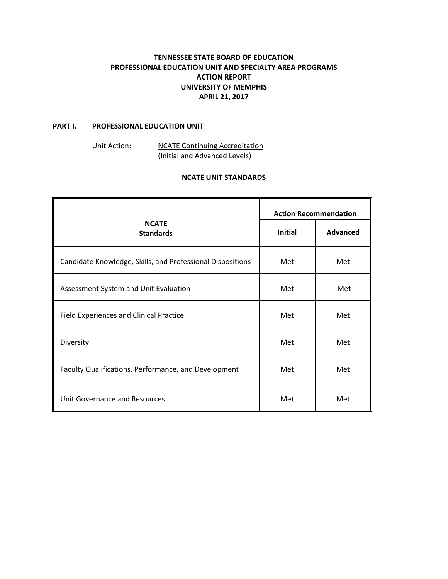# **TENNESSEE STATE BOARD OF EDUCATION PROFESSIONAL EDUCATION UNIT AND SPECIALTY AREA PROGRAMS ACTION REPORT UNIVERSITY OF MEMPHIS APRIL 21, 2017**

### **PART I. PROFESSIONAL EDUCATION UNIT**

Unit Action: NCATE Continuing Accreditation (Initial and Advanced Levels)

## **NCATE UNIT STANDARDS**

|                                                            | <b>Action Recommendation</b> |                 |
|------------------------------------------------------------|------------------------------|-----------------|
| <b>NCATE</b><br><b>Standards</b>                           | <b>Initial</b>               | <b>Advanced</b> |
| Candidate Knowledge, Skills, and Professional Dispositions | Met                          | Met             |
| Assessment System and Unit Evaluation                      | Met                          | Met             |
| <b>Field Experiences and Clinical Practice</b>             | Met                          | Met             |
| Diversity                                                  | Met                          | Met             |
| Faculty Qualifications, Performance, and Development       | Met                          | Met             |
| Unit Governance and Resources                              | Met                          | Met             |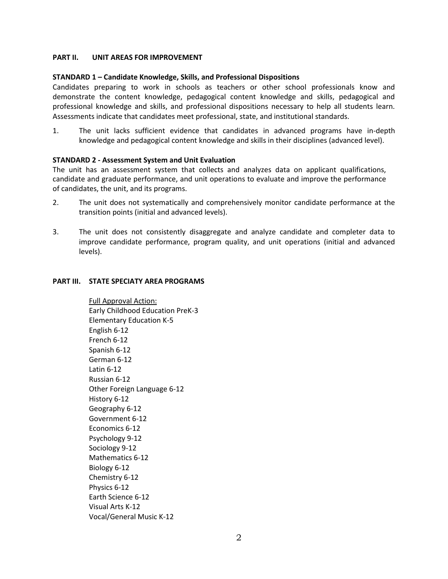## **PART II. UNIT AREAS FOR IMPROVEMENT**

#### **STANDARD 1 – Candidate Knowledge, Skills, and Professional Dispositions**

Candidates preparing to work in schools as teachers or other school professionals know and demonstrate the content knowledge, pedagogical content knowledge and skills, pedagogical and professional knowledge and skills, and professional dispositions necessary to help all students learn. Assessments indicate that candidates meet professional, state, and institutional standards.

1. The unit lacks sufficient evidence that candidates in advanced programs have in-depth knowledge and pedagogical content knowledge and skills in their disciplines (advanced level).

### **STANDARD 2 - Assessment System and Unit Evaluation**

The unit has an assessment system that collects and analyzes data on applicant qualifications, candidate and graduate performance, and unit operations to evaluate and improve the performance of candidates, the unit, and its programs.

- 2. The unit does not systematically and comprehensively monitor candidate performance at the transition points (initial and advanced levels).
- 3. The unit does not consistently disaggregate and analyze candidate and completer data to improve candidate performance, program quality, and unit operations (initial and advanced levels).

#### **PART III. STATE SPECIATY AREA PROGRAMS**

Full Approval Action: Early Childhood Education PreK-3 Elementary Education K-5 English 6-12 French 6-12 Spanish 6-12 German 6-12 Latin 6-12 Russian 6-12 Other Foreign Language 6-12 History 6-12 Geography 6-12 Government 6-12 Economics 6-12 Psychology 9-12 Sociology 9-12 Mathematics 6-12 Biology 6-12 Chemistry 6-12 Physics 6-12 Earth Science 6-12 Visual Arts K-12 Vocal/General Music K-12